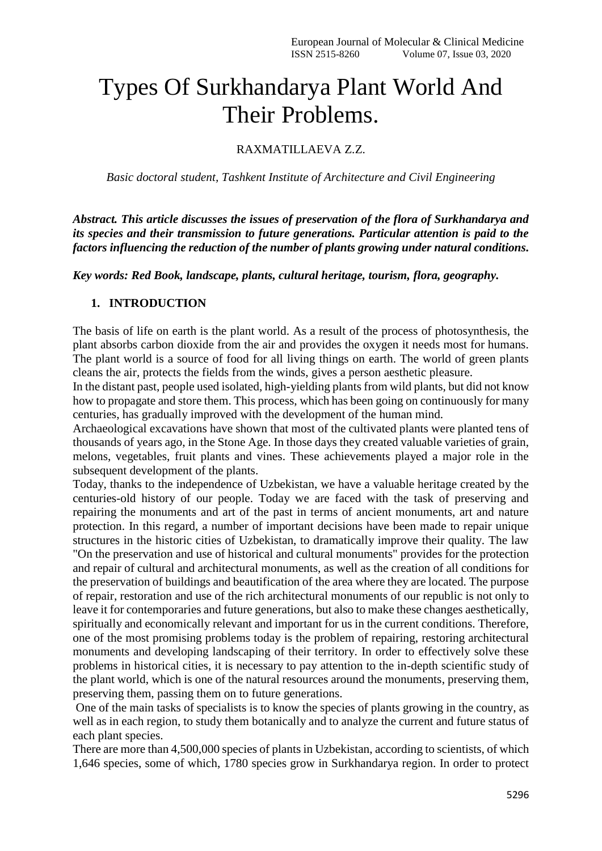## Types Of Surkhandarya Plant World And Their Problems.

## RAXMATILLAEVA Z.Z.

*Basic doctoral student, Tashkent Institute of Architecture and Civil Engineering*

*Abstract. This article discusses the issues of preservation of the flora of Surkhandarya and its species and their transmission to future generations. Particular attention is paid to the factors influencing the reduction of the number of plants growing under natural conditions.*

*Key words: Red Book, landscape, plants, cultural heritage, tourism, flora, geography.*

## **1. INTRODUCTION**

The basis of life on earth is the plant world. As a result of the process of photosynthesis, the plant absorbs carbon dioxide from the air and provides the oxygen it needs most for humans. The plant world is a source of food for all living things on earth. The world of green plants cleans the air, protects the fields from the winds, gives a person aesthetic pleasure.

In the distant past, people used isolated, high-yielding plants from wild plants, but did not know how to propagate and store them. This process, which has been going on continuously for many centuries, has gradually improved with the development of the human mind.

Archaeological excavations have shown that most of the cultivated plants were planted tens of thousands of years ago, in the Stone Age. In those days they created valuable varieties of grain, melons, vegetables, fruit plants and vines. These achievements played a major role in the subsequent development of the plants.

Today, thanks to the independence of Uzbekistan, we have a valuable heritage created by the centuries-old history of our people. Today we are faced with the task of preserving and repairing the monuments and art of the past in terms of ancient monuments, art and nature protection. In this regard, a number of important decisions have been made to repair unique structures in the historic cities of Uzbekistan, to dramatically improve their quality. The law "On the preservation and use of historical and cultural monuments" provides for the protection and repair of cultural and architectural monuments, as well as the creation of all conditions for the preservation of buildings and beautification of the area where they are located. The purpose of repair, restoration and use of the rich architectural monuments of our republic is not only to leave it for contemporaries and future generations, but also to make these changes aesthetically, spiritually and economically relevant and important for us in the current conditions. Therefore, one of the most promising problems today is the problem of repairing, restoring architectural monuments and developing landscaping of their territory. In order to effectively solve these problems in historical cities, it is necessary to pay attention to the in-depth scientific study of the plant world, which is one of the natural resources around the monuments, preserving them, preserving them, passing them on to future generations.

One of the main tasks of specialists is to know the species of plants growing in the country, as well as in each region, to study them botanically and to analyze the current and future status of each plant species.

There are more than 4,500,000 species of plants in Uzbekistan, according to scientists, of which 1,646 species, some of which, 1780 species grow in Surkhandarya region. In order to protect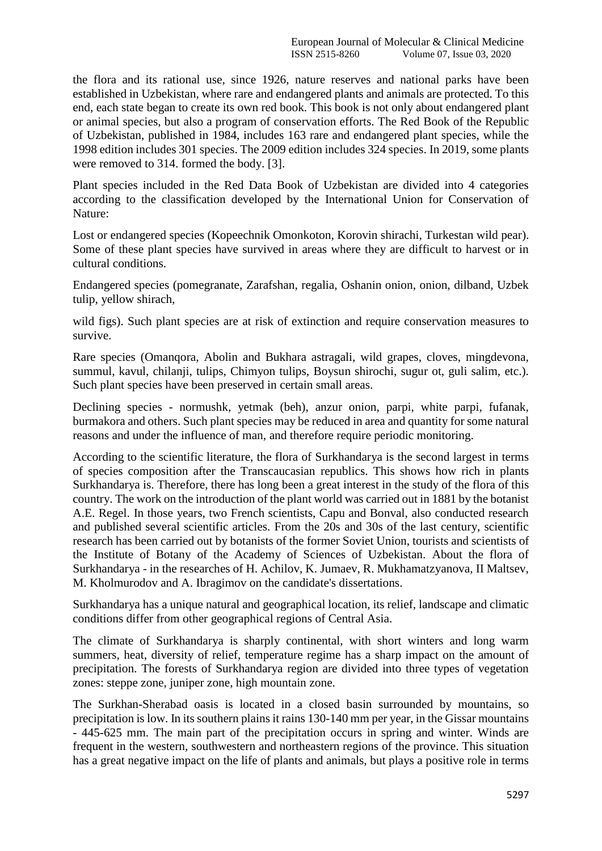the flora and its rational use, since 1926, nature reserves and national parks have been established in Uzbekistan, where rare and endangered plants and animals are protected. To this end, each state began to create its own red book. This book is not only about endangered plant or animal species, but also a program of conservation efforts. The Red Book of the Republic of Uzbekistan, published in 1984, includes 163 rare and endangered plant species, while the 1998 edition includes 301 species. The 2009 edition includes 324 species. In 2019, some plants were removed to 314. formed the body. [3].

Plant species included in the Red Data Book of Uzbekistan are divided into 4 categories according to the classification developed by the International Union for Conservation of Nature:

Lost or endangered species (Kopeechnik Omonkoton, Korovin shirachi, Turkestan wild pear). Some of these plant species have survived in areas where they are difficult to harvest or in cultural conditions.

Endangered species (pomegranate, Zarafshan, regalia, Oshanin onion, onion, dilband, Uzbek tulip, yellow shirach,

wild figs). Such plant species are at risk of extinction and require conservation measures to survive.

Rare species (Omanqora, Abolin and Bukhara astragali, wild grapes, cloves, mingdevona, summul, kavul, chilanji, tulips, Chimyon tulips, Boysun shirochi, sugur ot, guli salim, etc.). Such plant species have been preserved in certain small areas.

Declining species - normushk, yetmak (beh), anzur onion, parpi, white parpi, fufanak, burmakora and others. Such plant species may be reduced in area and quantity for some natural reasons and under the influence of man, and therefore require periodic monitoring.

According to the scientific literature, the flora of Surkhandarya is the second largest in terms of species composition after the Transcaucasian republics. This shows how rich in plants Surkhandarya is. Therefore, there has long been a great interest in the study of the flora of this country. The work on the introduction of the plant world was carried out in 1881 by the botanist A.E. Regel. In those years, two French scientists, Capu and Bonval, also conducted research and published several scientific articles. From the 20s and 30s of the last century, scientific research has been carried out by botanists of the former Soviet Union, tourists and scientists of the Institute of Botany of the Academy of Sciences of Uzbekistan. About the flora of Surkhandarya - in the researches of H. Achilov, K. Jumaev, R. Mukhamatzyanova, II Maltsev, M. Kholmurodov and A. Ibragimov on the candidate's dissertations.

Surkhandarya has a unique natural and geographical location, its relief, landscape and climatic conditions differ from other geographical regions of Central Asia.

The climate of Surkhandarya is sharply continental, with short winters and long warm summers, heat, diversity of relief, temperature regime has a sharp impact on the amount of precipitation. The forests of Surkhandarya region are divided into three types of vegetation zones: steppe zone, juniper zone, high mountain zone.

The Surkhan-Sherabad oasis is located in a closed basin surrounded by mountains, so precipitation is low. In its southern plains it rains 130-140 mm per year, in the Gissar mountains - 445-625 mm. The main part of the precipitation occurs in spring and winter. Winds are frequent in the western, southwestern and northeastern regions of the province. This situation has a great negative impact on the life of plants and animals, but plays a positive role in terms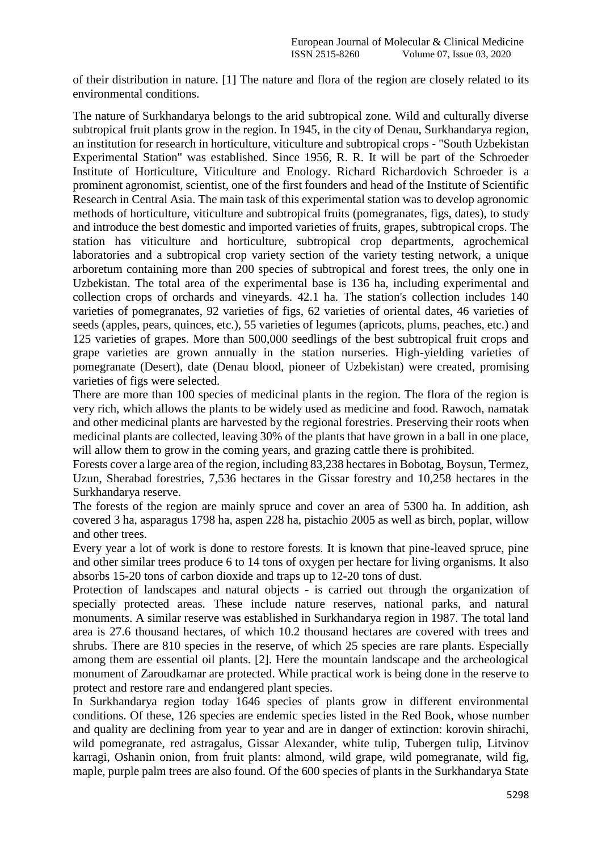of their distribution in nature. [1] The nature and flora of the region are closely related to its environmental conditions.

The nature of Surkhandarya belongs to the arid subtropical zone. Wild and culturally diverse subtropical fruit plants grow in the region. In 1945, in the city of Denau, Surkhandarya region, an institution for research in horticulture, viticulture and subtropical crops - "South Uzbekistan Experimental Station" was established. Since 1956, R. R. It will be part of the Schroeder Institute of Horticulture, Viticulture and Enology. Richard Richardovich Schroeder is a prominent agronomist, scientist, one of the first founders and head of the Institute of Scientific Research in Central Asia. The main task of this experimental station was to develop agronomic methods of horticulture, viticulture and subtropical fruits (pomegranates, figs, dates), to study and introduce the best domestic and imported varieties of fruits, grapes, subtropical crops. The station has viticulture and horticulture, subtropical crop departments, agrochemical laboratories and a subtropical crop variety section of the variety testing network, a unique arboretum containing more than 200 species of subtropical and forest trees, the only one in Uzbekistan. The total area of the experimental base is 136 ha, including experimental and collection crops of orchards and vineyards. 42.1 ha. The station's collection includes 140 varieties of pomegranates, 92 varieties of figs, 62 varieties of oriental dates, 46 varieties of seeds (apples, pears, quinces, etc.), 55 varieties of legumes (apricots, plums, peaches, etc.) and 125 varieties of grapes. More than 500,000 seedlings of the best subtropical fruit crops and grape varieties are grown annually in the station nurseries. High-yielding varieties of pomegranate (Desert), date (Denau blood, pioneer of Uzbekistan) were created, promising varieties of figs were selected.

There are more than 100 species of medicinal plants in the region. The flora of the region is very rich, which allows the plants to be widely used as medicine and food. Rawoch, namatak and other medicinal plants are harvested by the regional forestries. Preserving their roots when medicinal plants are collected, leaving 30% of the plants that have grown in a ball in one place, will allow them to grow in the coming years, and grazing cattle there is prohibited.

Forests cover a large area of the region, including 83,238 hectares in Bobotag, Boysun, Termez, Uzun, Sherabad forestries, 7,536 hectares in the Gissar forestry and 10,258 hectares in the Surkhandarya reserve.

The forests of the region are mainly spruce and cover an area of 5300 ha. In addition, ash covered 3 ha, asparagus 1798 ha, aspen 228 ha, pistachio 2005 as well as birch, poplar, willow and other trees.

Every year a lot of work is done to restore forests. It is known that pine-leaved spruce, pine and other similar trees produce 6 to 14 tons of oxygen per hectare for living organisms. It also absorbs 15-20 tons of carbon dioxide and traps up to 12-20 tons of dust.

Protection of landscapes and natural objects - is carried out through the organization of specially protected areas. These include nature reserves, national parks, and natural monuments. A similar reserve was established in Surkhandarya region in 1987. The total land area is 27.6 thousand hectares, of which 10.2 thousand hectares are covered with trees and shrubs. There are 810 species in the reserve, of which 25 species are rare plants. Especially among them are essential oil plants. [2]. Here the mountain landscape and the archeological monument of Zaroudkamar are protected. While practical work is being done in the reserve to protect and restore rare and endangered plant species.

In Surkhandarya region today 1646 species of plants grow in different environmental conditions. Of these, 126 species are endemic species listed in the Red Book, whose number and quality are declining from year to year and are in danger of extinction: korovin shirachi, wild pomegranate, red astragalus, Gissar Alexander, white tulip, Tubergen tulip, Litvinov karragi, Oshanin onion, from fruit plants: almond, wild grape, wild pomegranate, wild fig, maple, purple palm trees are also found. Of the 600 species of plants in the Surkhandarya State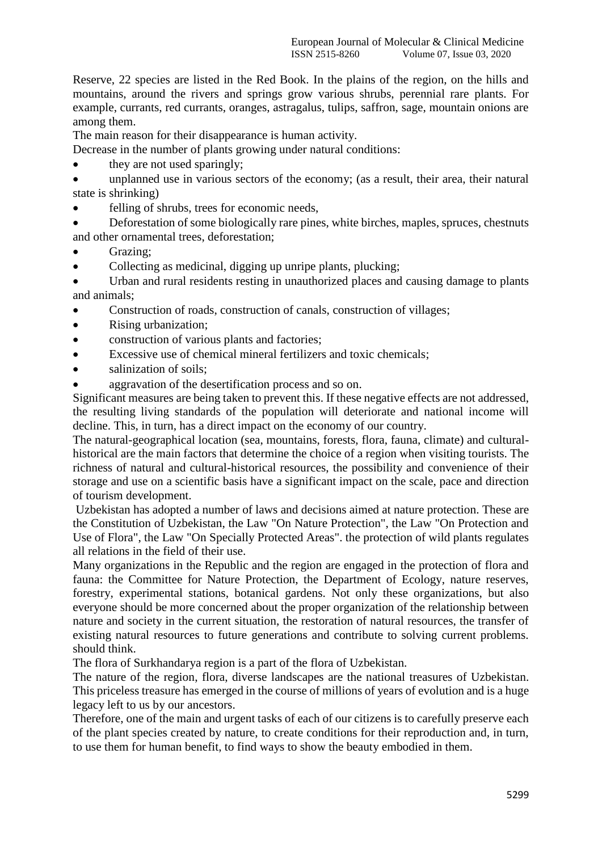Reserve, 22 species are listed in the Red Book. In the plains of the region, on the hills and mountains, around the rivers and springs grow various shrubs, perennial rare plants. For example, currants, red currants, oranges, astragalus, tulips, saffron, sage, mountain onions are among them.

The main reason for their disappearance is human activity.

Decrease in the number of plants growing under natural conditions:

- they are not used sparingly;
- unplanned use in various sectors of the economy; (as a result, their area, their natural state is shrinking)
- felling of shrubs, trees for economic needs,
- Deforestation of some biologically rare pines, white birches, maples, spruces, chestnuts and other ornamental trees, deforestation;
- Grazing;
- Collecting as medicinal, digging up unripe plants, plucking;

 Urban and rural residents resting in unauthorized places and causing damage to plants and animals;

- Construction of roads, construction of canals, construction of villages;
- Rising urbanization;
- construction of various plants and factories:
- Excessive use of chemical mineral fertilizers and toxic chemicals;
- salinization of soils;
- aggravation of the desertification process and so on.

Significant measures are being taken to prevent this. If these negative effects are not addressed, the resulting living standards of the population will deteriorate and national income will decline. This, in turn, has a direct impact on the economy of our country.

The natural-geographical location (sea, mountains, forests, flora, fauna, climate) and culturalhistorical are the main factors that determine the choice of a region when visiting tourists. The richness of natural and cultural-historical resources, the possibility and convenience of their storage and use on a scientific basis have a significant impact on the scale, pace and direction of tourism development.

Uzbekistan has adopted a number of laws and decisions aimed at nature protection. These are the Constitution of Uzbekistan, the Law "On Nature Protection", the Law "On Protection and Use of Flora", the Law "On Specially Protected Areas". the protection of wild plants regulates all relations in the field of their use.

Many organizations in the Republic and the region are engaged in the protection of flora and fauna: the Committee for Nature Protection, the Department of Ecology, nature reserves, forestry, experimental stations, botanical gardens. Not only these organizations, but also everyone should be more concerned about the proper organization of the relationship between nature and society in the current situation, the restoration of natural resources, the transfer of existing natural resources to future generations and contribute to solving current problems. should think.

The flora of Surkhandarya region is a part of the flora of Uzbekistan.

The nature of the region, flora, diverse landscapes are the national treasures of Uzbekistan. This priceless treasure has emerged in the course of millions of years of evolution and is a huge legacy left to us by our ancestors.

Therefore, one of the main and urgent tasks of each of our citizens is to carefully preserve each of the plant species created by nature, to create conditions for their reproduction and, in turn, to use them for human benefit, to find ways to show the beauty embodied in them.